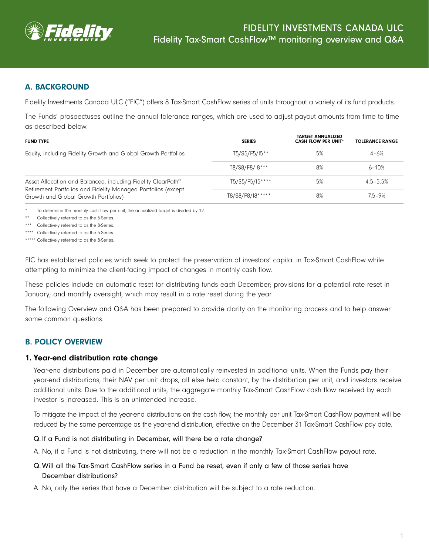

## A. BACKGROUND

Fidelity Investments Canada ULC ("FIC") offers 8 Tax-Smart CashFlow series of units throughout a variety of its fund products.

The Funds' prospectuses outline the annual tolerance ranges, which are used to adjust payout amounts from time to time as described below.

| <b>FUND TYPE</b>                                                                                                                                                                  | <b>SERIES</b>    | <b>TARGET ANNUALIZED</b><br><b>CASH FLOW PER UNIT*</b> | <b>TOLERANCE RANGE</b> |
|-----------------------------------------------------------------------------------------------------------------------------------------------------------------------------------|------------------|--------------------------------------------------------|------------------------|
| Equity, including Fidelity Growth and Global Growth Portfolios                                                                                                                    | T5/S5/F5/I5**    | 5%                                                     | $4 - 6%$               |
|                                                                                                                                                                                   | T8/S8/F8/I8***   | 8%                                                     | $6 - 10%$              |
| Asset Allocation and Balanced, including Fidelity ClearPath <sup>®</sup><br>Retirement Portfolios and Fidelity Managed Portfolios (except<br>Growth and Global Growth Portfolios) | T5/S5/F5/I5****  | 5%                                                     | $4.5 - 5.5%$           |
|                                                                                                                                                                                   | T8/S8/F8/I8***** | 8%                                                     | $7.5 - 9%$             |

To determine the monthly cash flow per unit, the annualized target is divided by 12.

Collectively referred to as the 5-Series.

\*\*\* Collectively referred to as the 8-Series.

\*\*\*\* Collectively referred to as the 5-Series.

\*\*\*\*\* Collectively referred to as the 8-Series.

FIC has established policies which seek to protect the preservation of investors' capital in Tax-Smart CashFlow while attempting to minimize the client-facing impact of changes in monthly cash flow.

These policies include an automatic reset for distributing funds each December; provisions for a potential rate reset in January; and monthly oversight, which may result in a rate reset during the year.

The following Overview and Q&A has been prepared to provide clarity on the monitoring process and to help answer some common questions.

# B. POLICY OVERVIEW

### 1. Year-end distribution rate change

Year-end distributions paid in December are automatically reinvested in additional units. When the Funds pay their year-end distributions, their NAV per unit drops, all else held constant, by the distribution per unit, and investors receive additional units. Due to the additional units, the aggregate monthly Tax-Smart CashFlow cash flow received by each investor is increased. This is an unintended increase.

To mitigate the impact of the year-end distributions on the cash flow, the monthly per unit Tax-Smart CashFlow payment will be reduced by the same percentage as the year-end distribution, effective on the December 31 Tax-Smart CashFlow pay date.

### Q. If a Fund is not distributing in December, will there be a rate change?

A. No, if a Fund is not distributing, there will not be a reduction in the monthly Tax-Smart CashFlow payout rate.

### Q. Will all the Tax-Smart CashFlow series in a Fund be reset, even if only a few of those series have December distributions?

A. No, only the series that have a December distribution will be subject to a rate reduction.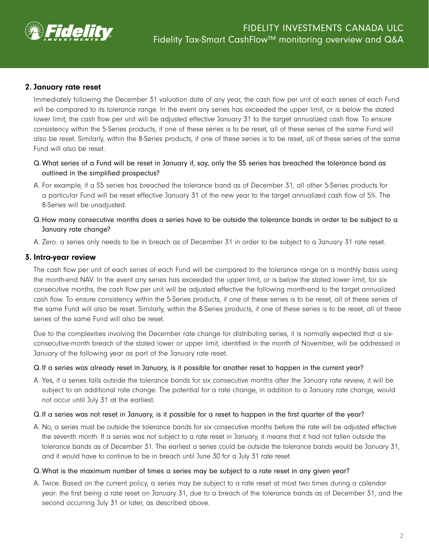

### 2. January rate reset

Immediately following the December 31 valuation date of any year, the cash flow per unit of each series of each Fund will be compared to its tolerance range. In the event any series has exceeded the upper limit, or is below the stated lower limit, the cash flow per unit will be adjusted effective January 31 to the target annualized cash flow. To ensure consistency within the 5-Series products, if one of these series is to be reset, all of these series of the same Fund will also be reset. Similarly, within the 8-Series products, if one of these series is to be reset, all of these series of the same Fund will also be reset.

- Q. What series of a Fund will be reset in January if, say, only the S5 series has breached the tolerance band as outlined in the simplified prospectus?
- A. For example, if a S5 series has breached the tolerance band as of December 31, all other 5-Series products for a particular Fund will be reset effective January 31 of the new year to the target annualized cash flow of 5%. The 8-Series will be unadjusted.
- Q. How many consecutive months does a series have to be outside the tolerance bands in order to be subject to a January rate change?
- A. Zero: a series only needs to be in breach as of December 31 in order to be subject to a January 31 rate reset.

### 3. Intra-year review

The cash flow per unit of each series of each Fund will be compared to the tolerance range on a monthly basis using the month-end NAV. In the event any series has exceeded the upper limit, or is below the stated lower limit, for six consecutive months, the cash flow per unit will be adjusted effective the following month-end to the target annualized cash flow. To ensure consistency within the 5-Series products, if one of these series is to be reset, all of these series of the same Fund will also be reset. Similarly, within the 8-Series products, if one of these series is to be reset, all of these series of the same Fund will also be reset.

Due to the complexities involving the December rate change for distributing series, it is normally expected that a sixconsecutive-month breach of the stated lower or upper limit, identified in the month of November, will be addressed in January of the following year as part of the January rate reset.

### Q. If a series was already reset in January, is it possible for another reset to happen in the current year?

A. Yes, if a series falls outside the tolerance bands for six consecutive months after the January rate review, it will be subject to an additional rate change. The potential for a rate change, in addition to a January rate change, would not occur until July 31 at the earliest.

### Q. If a series was not reset in January, is it possible for a reset to happen in the first quarter of the year?

A. No, a series must be outside the tolerance bands for six consecutive months before the rate will be adjusted effective the seventh month. If a series was not subject to a rate reset in January, it means that it had not fallen outside the tolerance bands as of December 31. The earliest a series could be outside the tolerance bands would be January 31, and it would have to continue to be in breach until June 30 for a July 31 rate reset.

### Q. What is the maximum number of times a series may be subject to a rate reset in any given year?

A. Twice. Based on the current policy, a series may be subject to a rate reset at most two times during a calendar year: the first being a rate reset on January 31, due to a breach of the tolerance bands as of December 31, and the second occurring July 31 or later, as described above.